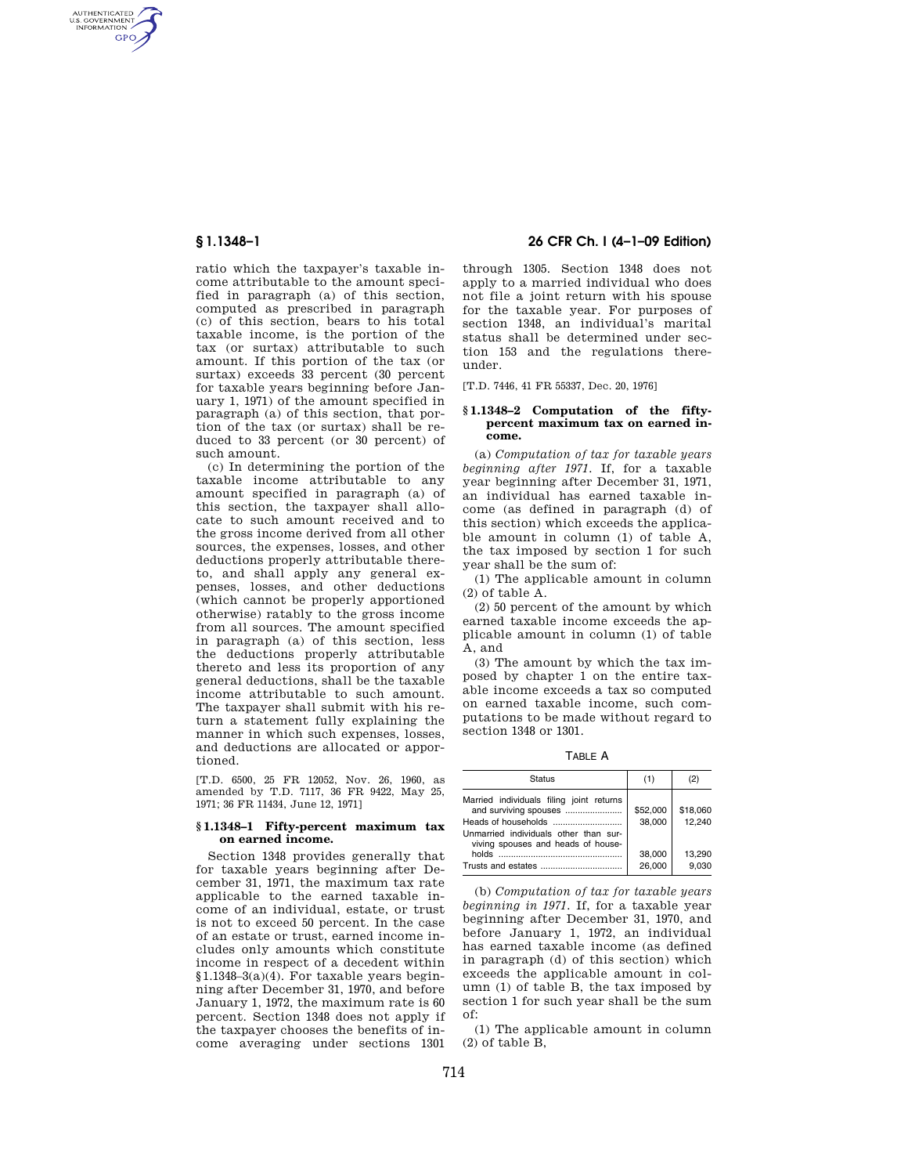AUTHENTICATED<br>U.S. GOVERNMENT<br>INFORMATION **GPO** 

> ratio which the taxpayer's taxable income attributable to the amount specified in paragraph (a) of this section, computed as prescribed in paragraph (c) of this section, bears to his total taxable income, is the portion of the tax (or surtax) attributable to such amount. If this portion of the tax (or surtax) exceeds 33 percent (30 percent for taxable years beginning before January 1, 1971) of the amount specified in paragraph (a) of this section, that portion of the tax (or surtax) shall be reduced to 33 percent (or 30 percent) of such amount.

> (c) In determining the portion of the taxable income attributable to any amount specified in paragraph (a) of this section, the taxpayer shall allocate to such amount received and to the gross income derived from all other sources, the expenses, losses, and other deductions properly attributable thereto, and shall apply any general expenses, losses, and other deductions (which cannot be properly apportioned otherwise) ratably to the gross income from all sources. The amount specified in paragraph (a) of this section, less the deductions properly attributable thereto and less its proportion of any general deductions, shall be the taxable income attributable to such amount. The taxpayer shall submit with his return a statement fully explaining the manner in which such expenses, losses, and deductions are allocated or apportioned.

[T.D. 6500, 25 FR 12052, Nov. 26, 1960, as amended by T.D. 7117, 36 FR 9422, May 25, 1971; 36 FR 11434, June 12, 1971]

#### **§ 1.1348–1 Fifty-percent maximum tax on earned income.**

Section 1348 provides generally that for taxable years beginning after December 31, 1971, the maximum tax rate applicable to the earned taxable income of an individual, estate, or trust is not to exceed 50 percent. In the case of an estate or trust, earned income includes only amounts which constitute income in respect of a decedent within §1.1348–3(a)(4). For taxable years beginning after December 31, 1970, and before January 1, 1972, the maximum rate is 60 percent. Section 1348 does not apply if the taxpayer chooses the benefits of income averaging under sections 1301

# **§ 1.1348–1 26 CFR Ch. I (4–1–09 Edition)**

through 1305. Section 1348 does not apply to a married individual who does not file a joint return with his spouse for the taxable year. For purposes of section 1348, an individual's marital status shall be determined under section 153 and the regulations thereunder.

[T.D. 7446, 41 FR 55337, Dec. 20, 1976]

#### **§ 1.1348–2 Computation of the fiftypercent maximum tax on earned income.**

(a) *Computation of tax for taxable years beginning after 1971.* If, for a taxable year beginning after December 31, 1971, an individual has earned taxable income (as defined in paragraph (d) of this section) which exceeds the applicable amount in column (1) of table A, the tax imposed by section 1 for such year shall be the sum of:

(1) The applicable amount in column (2) of table A.

(2) 50 percent of the amount by which earned taxable income exceeds the applicable amount in column (1) of table A, and

(3) The amount by which the tax imposed by chapter 1 on the entire taxable income exceeds a tax so computed on earned taxable income, such computations to be made without regard to section 1348 or 1301.

TABLE A

| <b>Status</b>                                                                                                                                    | (1)                                    | (2)                                   |
|--------------------------------------------------------------------------------------------------------------------------------------------------|----------------------------------------|---------------------------------------|
| Married individuals filing joint returns<br>and surviving spouses<br>Unmarried individuals other than sur-<br>viving spouses and heads of house- | \$52,000<br>38.000<br>38,000<br>26.000 | \$18,060<br>12.240<br>13.290<br>9.030 |

(b) *Computation of tax for taxable years beginning in 1971.* If, for a taxable year beginning after December 31, 1970, and before January 1, 1972, an individual has earned taxable income (as defined in paragraph (d) of this section) which exceeds the applicable amount in column (1) of table B, the tax imposed by section 1 for such year shall be the sum of:

(1) The applicable amount in column (2) of table B,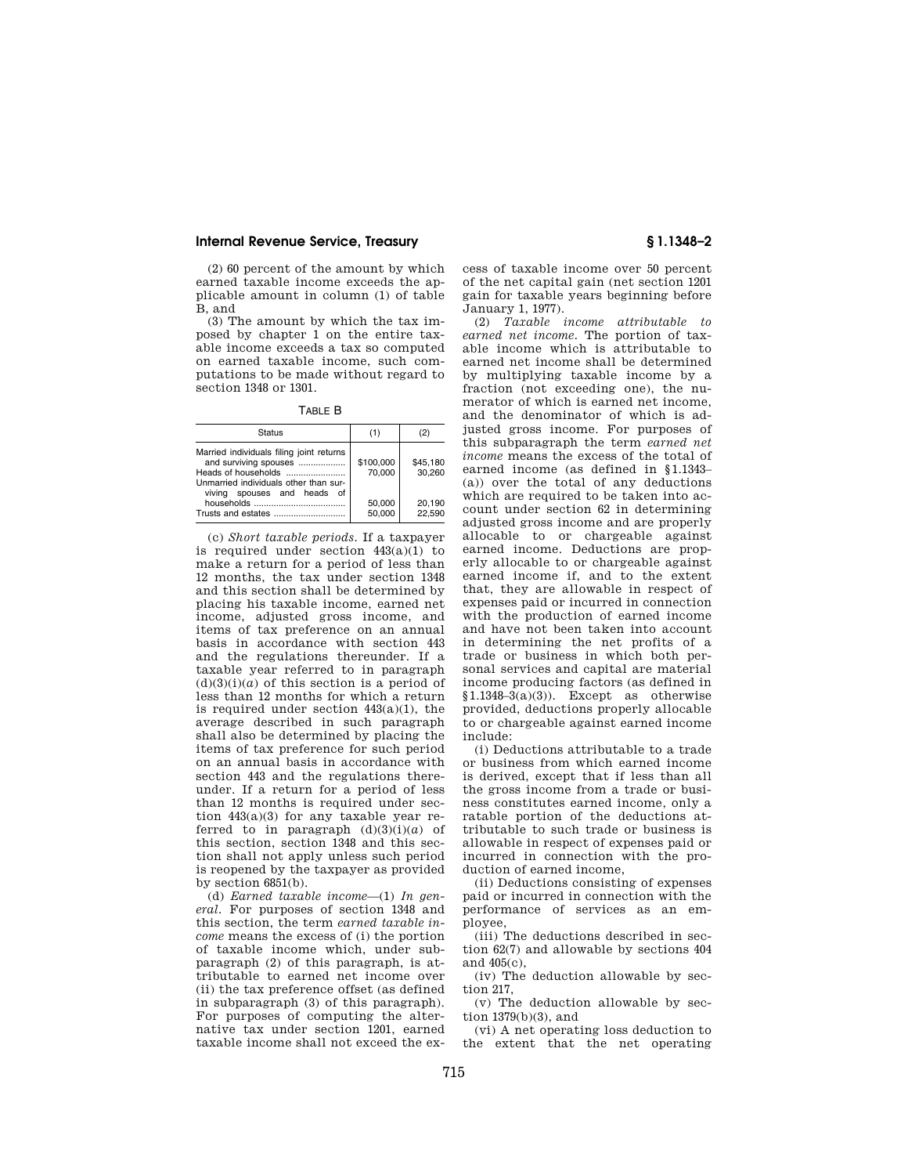#### **Internal Revenue Service, Treasury § 1.1348–2**

(2) 60 percent of the amount by which earned taxable income exceeds the applicable amount in column (1) of table B, and

(3) The amount by which the tax imposed by chapter 1 on the entire taxable income exceeds a tax so computed on earned taxable income, such computations to be made without regard to section 1348 or 1301.

TABLE B

| <b>Status</b>                                                                                                                             | (1)                           |                              |
|-------------------------------------------------------------------------------------------------------------------------------------------|-------------------------------|------------------------------|
| Married individuals filing joint returns<br>and surviving spouses<br>Unmarried individuals other than sur-<br>viving spouses and heads of | \$100,000<br>70.000<br>50,000 | \$45.180<br>30.260<br>20.190 |
|                                                                                                                                           | 50.000                        | 22.590                       |

(c) *Short taxable periods.* If a taxpayer is required under section  $443(a)(1)$  to make a return for a period of less than 12 months, the tax under section 1348 and this section shall be determined by placing his taxable income, earned net income, adjusted gross income, and items of tax preference on an annual basis in accordance with section 443 and the regulations thereunder. If a taxable year referred to in paragraph  $(d)(3)(i)(a)$  of this section is a period of less than 12 months for which a return is required under section  $443(a)(1)$ , the average described in such paragraph shall also be determined by placing the items of tax preference for such period on an annual basis in accordance with section 443 and the regulations thereunder. If a return for a period of less than 12 months is required under section 443(a)(3) for any taxable year referred to in paragraph  $(d)(3)(i)(a)$  of this section, section 1348 and this section shall not apply unless such period is reopened by the taxpayer as provided by section 6851(b).

(d) *Earned taxable income*—(1) *In general.* For purposes of section 1348 and this section, the term *earned taxable income* means the excess of (i) the portion of taxable income which, under subparagraph (2) of this paragraph, is attributable to earned net income over (ii) the tax preference offset (as defined in subparagraph (3) of this paragraph). For purposes of computing the alternative tax under section 1201, earned taxable income shall not exceed the ex-

cess of taxable income over 50 percent of the net capital gain (net section 1201 gain for taxable years beginning before January 1, 1977).

(2) *Taxable income attributable to earned net income.* The portion of taxable income which is attributable to earned net income shall be determined by multiplying taxable income by a fraction (not exceeding one), the numerator of which is earned net income, and the denominator of which is adjusted gross income. For purposes of this subparagraph the term *earned net income* means the excess of the total of earned income (as defined in §1.1343– (a)) over the total of any deductions which are required to be taken into account under section 62 in determining adjusted gross income and are properly allocable to or chargeable against earned income. Deductions are properly allocable to or chargeable against earned income if, and to the extent that, they are allowable in respect of expenses paid or incurred in connection with the production of earned income and have not been taken into account in determining the net profits of a trade or business in which both personal services and capital are material income producing factors (as defined in  $$1.1348-3(a)(3)$ . Except as otherwise provided, deductions properly allocable to or chargeable against earned income include:

(i) Deductions attributable to a trade or business from which earned income is derived, except that if less than all the gross income from a trade or business constitutes earned income, only a ratable portion of the deductions attributable to such trade or business is allowable in respect of expenses paid or incurred in connection with the production of earned income,

(ii) Deductions consisting of expenses paid or incurred in connection with the performance of services as an employee,

(iii) The deductions described in section 62(7) and allowable by sections 404 and 405(c),

(iv) The deduction allowable by section 217,

(v) The deduction allowable by section 1379(b)(3), and

(vi) A net operating loss deduction to the extent that the net operating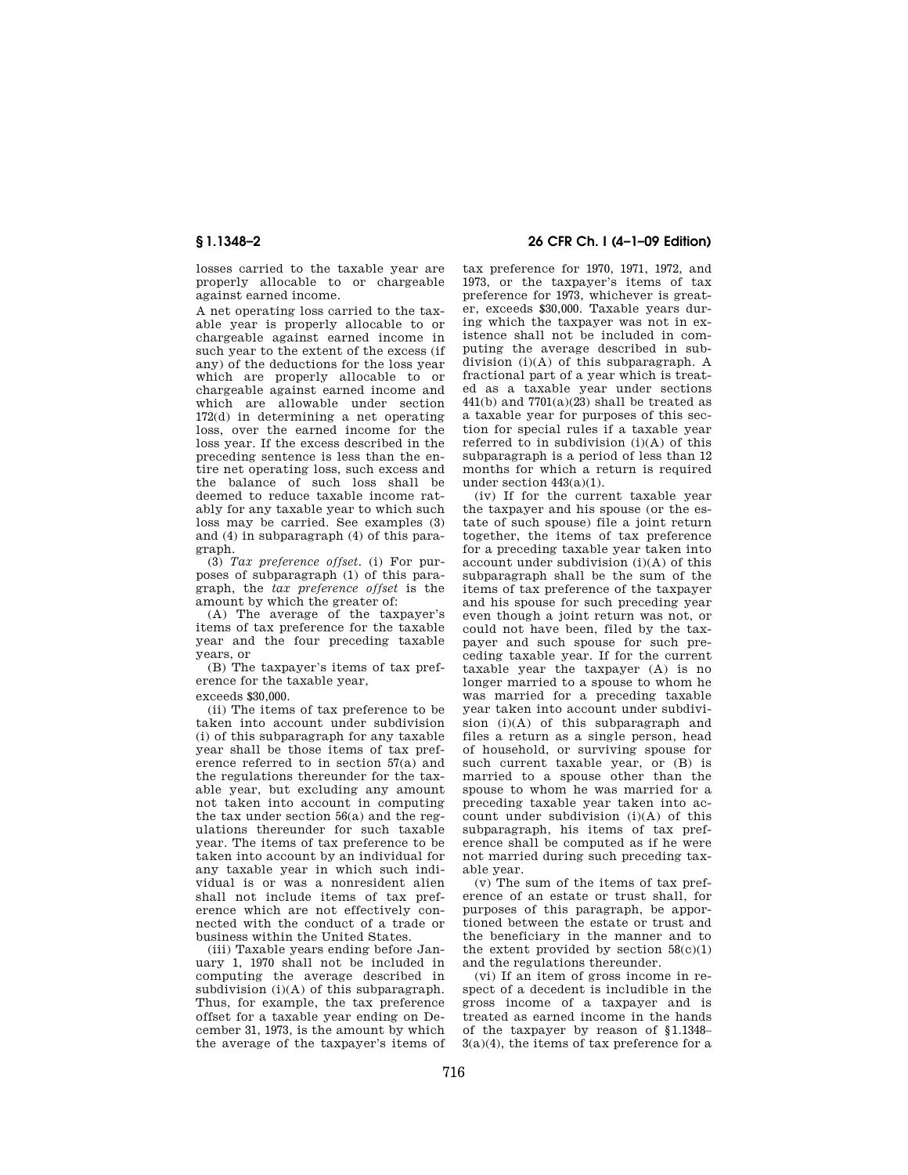losses carried to the taxable year are properly allocable to or chargeable against earned income.

A net operating loss carried to the taxable year is properly allocable to or chargeable against earned income in such year to the extent of the excess (if any) of the deductions for the loss year which are properly allocable to or chargeable against earned income and which are allowable under section 172(d) in determining a net operating loss, over the earned income for the loss year. If the excess described in the preceding sentence is less than the entire net operating loss, such excess and the balance of such loss shall be deemed to reduce taxable income ratably for any taxable year to which such loss may be carried. See examples (3) and (4) in subparagraph (4) of this paragraph.

(3) *Tax preference offset.* (i) For purposes of subparagraph (1) of this paragraph, the *tax preference offset* is the amount by which the greater of:

(A) The average of the taxpayer's items of tax preference for the taxable year and the four preceding taxable years, or

(B) The taxpayer's items of tax preference for the taxable year,

exceeds \$30,000.

(ii) The items of tax preference to be taken into account under subdivision (i) of this subparagraph for any taxable year shall be those items of tax preference referred to in section 57(a) and the regulations thereunder for the taxable year, but excluding any amount not taken into account in computing the tax under section 56(a) and the regulations thereunder for such taxable year. The items of tax preference to be taken into account by an individual for any taxable year in which such individual is or was a nonresident alien shall not include items of tax preference which are not effectively connected with the conduct of a trade or business within the United States.

(iii) Taxable years ending before January 1, 1970 shall not be included in computing the average described in subdivision  $(i)(A)$  of this subparagraph. Thus, for example, the tax preference offset for a taxable year ending on December 31, 1973, is the amount by which the average of the taxpayer's items of

# **§ 1.1348–2 26 CFR Ch. I (4–1–09 Edition)**

tax preference for 1970, 1971, 1972, and 1973, or the taxpayer's items of tax preference for 1973, whichever is greater, exceeds \$30,000. Taxable years during which the taxpayer was not in existence shall not be included in computing the average described in subdivision (i)(A) of this subparagraph. A fractional part of a year which is treated as a taxable year under sections  $441(b)$  and  $7701(a)(23)$  shall be treated as a taxable year for purposes of this section for special rules if a taxable year referred to in subdivision (i)(A) of this subparagraph is a period of less than 12 months for which a return is required under section 443(a)(1).

(iv) If for the current taxable year the taxpayer and his spouse (or the estate of such spouse) file a joint return together, the items of tax preference for a preceding taxable year taken into account under subdivision (i)(A) of this subparagraph shall be the sum of the items of tax preference of the taxpayer and his spouse for such preceding year even though a joint return was not, or could not have been, filed by the taxpayer and such spouse for such preceding taxable year. If for the current taxable year the taxpayer (A) is no longer married to a spouse to whom he was married for a preceding taxable year taken into account under subdivision (i)(A) of this subparagraph and files a return as a single person, head of household, or surviving spouse for such current taxable year, or (B) is married to a spouse other than the spouse to whom he was married for a preceding taxable year taken into account under subdivision (i)(A) of this subparagraph, his items of tax preference shall be computed as if he were not married during such preceding taxable year.

 $(v)$  The sum of the items of tax preference of an estate or trust shall, for purposes of this paragraph, be apportioned between the estate or trust and the beneficiary in the manner and to the extent provided by section  $58(c)(1)$ and the regulations thereunder.

(vi) If an item of gross income in respect of a decedent is includible in the gross income of a taxpayer and is treated as earned income in the hands of the taxpayer by reason of §1.1348–  $3(a)(4)$ , the items of tax preference for a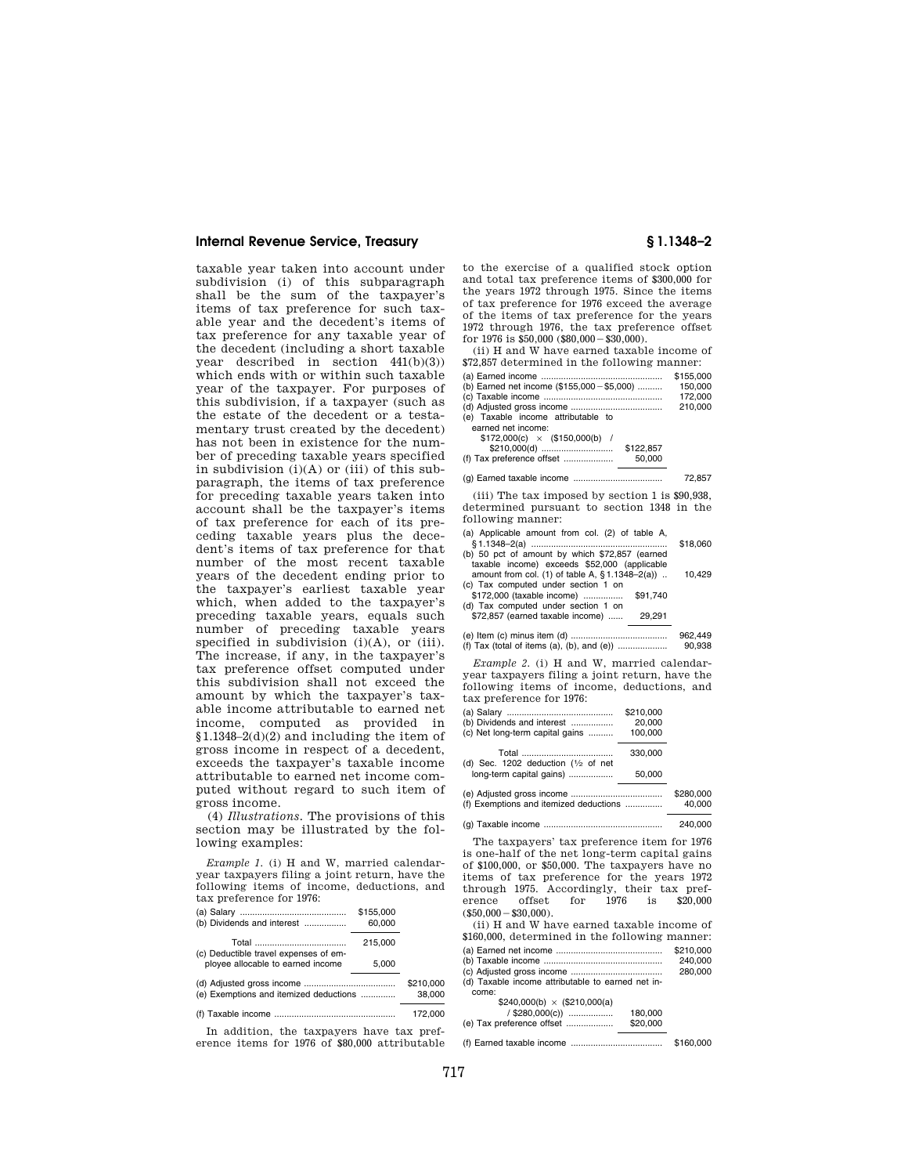### **Internal Revenue Service, Treasury § 1.1348–2**

taxable year taken into account under subdivision (i) of this subparagraph shall be the sum of the taxpayer's items of tax preference for such taxable year and the decedent's items of tax preference for any taxable year of the decedent (including a short taxable year described in section 441(b)(3)) which ends with or within such taxable year of the taxpayer. For purposes of this subdivision, if a taxpayer (such as the estate of the decedent or a testamentary trust created by the decedent) has not been in existence for the number of preceding taxable years specified in subdivision  $(i)(A)$  or  $(iii)$  of this subparagraph, the items of tax preference for preceding taxable years taken into account shall be the taxpayer's items of tax preference for each of its preceding taxable years plus the decedent's items of tax preference for that number of the most recent taxable years of the decedent ending prior to the taxpayer's earliest taxable year which, when added to the taxpayer's preceding taxable years, equals such number of preceding taxable years specified in subdivision  $(i)(A)$ , or  $(iii)$ . The increase, if any, in the taxpayer's tax preference offset computed under this subdivision shall not exceed the amount by which the taxpayer's taxable income attributable to earned net income, computed as provided in §1.1348–2(d)(2) and including the item of gross income in respect of a decedent, exceeds the taxpayer's taxable income attributable to earned net income computed without regard to such item of gross income.

(4) *Illustrations.* The provisions of this section may be illustrated by the following examples:

*Example 1.* (i) H and W, married calendaryear taxpayers filing a joint return, have the following items of income, deductions, and tax preference for 1976:

| (b) Dividends and interest             | \$155,000<br>60,000 |                     |
|----------------------------------------|---------------------|---------------------|
| (c) Deductible travel expenses of em-  | 215,000             |                     |
| ployee allocable to earned income      | 5.000               |                     |
| (e) Exemptions and itemized deductions |                     | \$210,000<br>38,000 |
|                                        |                     | 172,000             |

In addition, the taxpayers have tax preference items for 1976 of \$80,000 attributable

to the exercise of a qualified stock option and total tax preference items of \$300,000 for the years 1972 through 1975. Since the items of tax preference for 1976 exceed the average of the items of tax preference for the years 1972 through 1976, the tax preference offset for  $1976$  is  $$50,000$  ( $$80,000 - $30,000$ ).

(ii) H and W have earned taxable income of \$72,857 determined in the following manner:

|                                             | \$155,000 |
|---------------------------------------------|-----------|
| (b) Earned net income (\$155,000 - \$5,000) | 150.000   |
|                                             | 172.000   |
|                                             | 210,000   |
| (e) Taxable income attributable to          |           |
| earned net income:                          |           |
| $$172,000(c) \times ($150,000(b)$ /         |           |
| \$122.857<br>\$210,000(d)                   |           |
| 50.000<br>(f) Tax preference offset         |           |
|                                             |           |
|                                             | 72.857    |

(iii) The tax imposed by section 1 is \$90,938, determined pursuant to section 1348 in the following manner:

|          |        | (a) Applicable amount from col. (2) of table A,    |  |
|----------|--------|----------------------------------------------------|--|
| \$18,060 |        |                                                    |  |
|          |        | (b) 50 pct of amount by which \$72,857 (earned     |  |
|          |        | taxable income) exceeds \$52,000 (applicable       |  |
| 10.429   |        | amount from col. (1) of table A, $§ 1.1348-2(a)$ . |  |
|          |        | (c) Tax computed under section 1 on                |  |
|          |        | \$172,000 (taxable income)  \$91,740               |  |
|          |        | (d) Tax computed under section 1 on                |  |
|          | 29.291 | \$72,857 (earned taxable income)                   |  |
|          |        |                                                    |  |

|                                            | 962,449 |
|--------------------------------------------|---------|
| (f) Tax (total of items (a), (b), and (e)) | 90.938  |

*Example 2.* (i) H and W, married calendaryear taxpayers filing a joint return, have the following items of income, deductions, and tax preference for 1976:

|                                                              | \$210,000 |         |
|--------------------------------------------------------------|-----------|---------|
| (b) Dividends and interest                                   | 20,000    |         |
| (c) Net long-term capital gains                              | 100,000   |         |
| Total ………………………………<br>(d) Sec. 1202 deduction $(1/2)$ of net | 330,000   |         |
| long-term capital gains)                                     | 50.000    |         |
| (a) Adjusted ares income                                     |           | mn nac2 |

|                                        | webu.bou |
|----------------------------------------|----------|
| (f) Exemptions and itemized deductions | 40.000   |
|                                        | 240.000  |

The taxpayers' tax preference item for 1976 is one-half of the net long-term capital gains of \$100,000, or \$50,000. The taxpayers have no items of tax preference for the years 1972 through 1975. Accordingly, their tax preference offset for 1976 is \$20,000 offset  $(\$50,000 - \$30,000)$ . (ii) H and W have earned taxable income of

| \$160,000, determined in the following manner:    |           |
|---------------------------------------------------|-----------|
|                                                   | \$210,000 |
|                                                   | 240.000   |
|                                                   | 280,000   |
| (d) Taxable income attributable to earned net in- |           |
| come:                                             |           |
| $$240,000(b) \times ($210,000(a)$                 |           |
| / \$280,000(c))<br>180.000                        |           |

(e) Tax preference offset ................... \$20,000 (f) Earned taxable income ..................................... \$160,000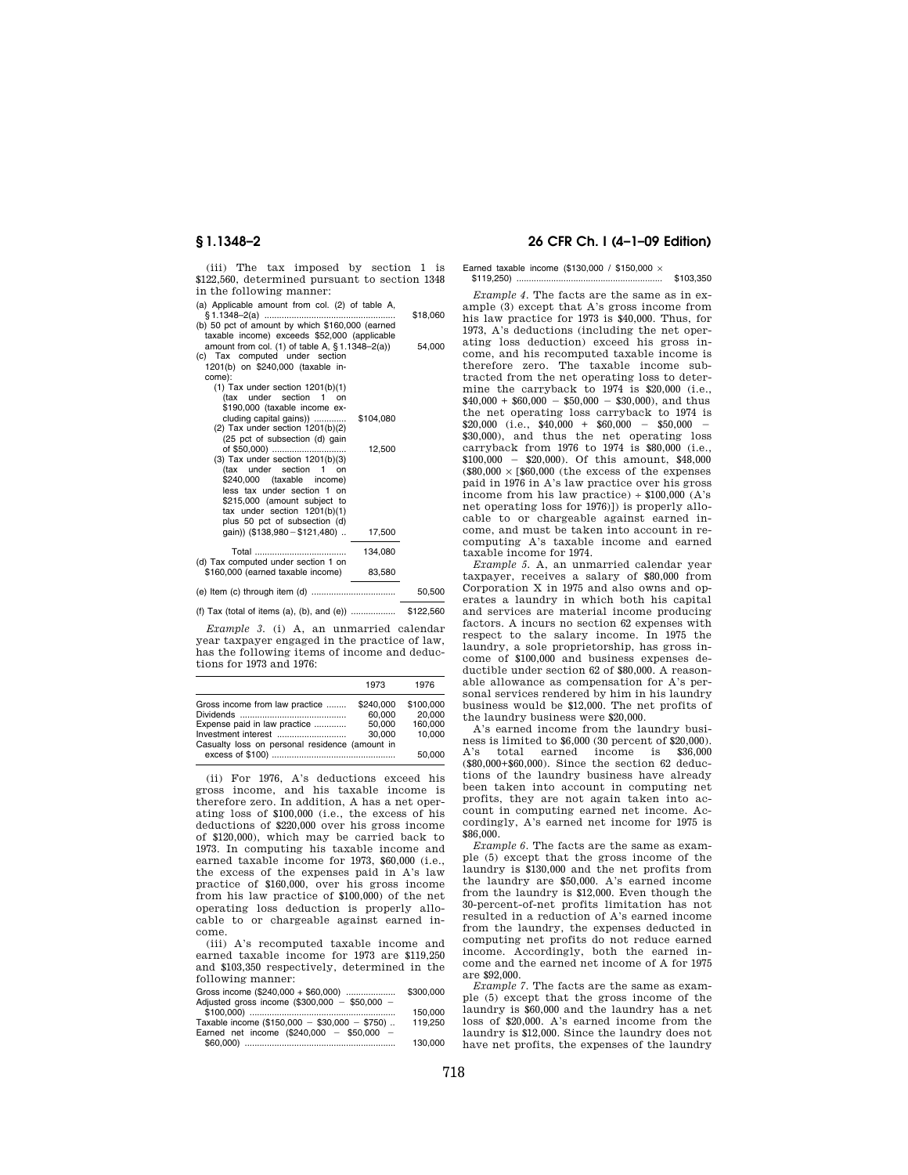(iii) The tax imposed by section 1 is \$122,560, determined pursuant to section 1348 in the following manner:

- (a) Applicable amount from col. (2) of table A,  $$1,1348-2(a)$
- § 1.1348–2(a) ..................................................... \$18,060 (b) 50 pct of amount by which \$160,000 (earned

| 54.000 |
|--------|
|        |
|        |
|        |
|        |
|        |
|        |
|        |
|        |
|        |
|        |

| (20 pc) or subsection (u) gain<br>of \$50,000)<br>$(3)$ Tax under section $1201(b)(3)$<br>(tax under section 1 on<br>\$240,000 (taxable income)<br>less tax under section 1 on<br>\$215,000 (amount subject to<br>tax under section 1201(b)(1)<br>plus 50 pct of subsection (d)<br>qain)) (\$138,980 - \$121,480) | 12,500<br>17.500 |
|-------------------------------------------------------------------------------------------------------------------------------------------------------------------------------------------------------------------------------------------------------------------------------------------------------------------|------------------|
|                                                                                                                                                                                                                                                                                                                   | 134.080          |
| (d) Tax computed under section 1 on<br>\$160,000 (earned taxable income)                                                                                                                                                                                                                                          | 83.580           |
|                                                                                                                                                                                                                                                                                                                   |                  |

(e) Item (c) through item (d) .................................. 50,500

(f) Tax (total of items (a), (b), and (e)) .................. \$122,560

*Example 3.* (i) A, an unmarried calendar year taxpayer engaged in the practice of law, has the following items of income and deductions for 1973 and 1976:

|                                                | 1973      | 1976      |
|------------------------------------------------|-----------|-----------|
| Gross income from law practice                 | \$240,000 | \$100,000 |
|                                                | 60.000    | 20.000    |
| Expense paid in law practice                   | 50.000    | 160.000   |
| Investment interest                            | 30.000    | 10.000    |
| Casualty loss on personal residence (amount in |           |           |
|                                                |           | 50.000    |

(ii) For 1976, A's deductions exceed his gross income, and his taxable income is therefore zero. In addition, A has a net operating loss of \$100,000 (i.e., the excess of his deductions of \$220,000 over his gross income of \$120,000), which may be carried back to 1973. In computing his taxable income and earned taxable income for 1973, \$60,000 (i.e., the excess of the expenses paid in A's law practice of \$160,000, over his gross income from his law practice of \$100,000) of the net operating loss deduction is properly allocable to or chargeable against earned income.

(iii) A's recomputed taxable income and earned taxable income for 1973 are \$119,250 and \$103,350 respectively, determined in the following manner:

| Gross income $(\$240,000 + \$60,000)$           | \$300.000 |
|-------------------------------------------------|-----------|
| Adjusted gross income $(\$300,000 - \$50,000 -$ |           |
|                                                 | 150,000   |
| Taxable income $(\$150,000 - \$30,000 - \$750)$ | 119.250   |
| Earned net income $(\$240,000 - \$50,000 -$     |           |
|                                                 | 130.000   |

# **§ 1.1348–2 26 CFR Ch. I (4–1–09 Edition)**

Earned taxable income (\$130,000 / \$150,000 × \$119,250) ........................................................... \$103,350

*Example 4.* The facts are the same as in example (3) except that A's gross income from his law practice for 1973 is \$40,000. Thus, for 1973, A's deductions (including the net operating loss deduction) exceed his gross income, and his recomputed taxable income is therefore zero. The taxable income subtracted from the net operating loss to determine the carryback to 1974 is \$20,000 (i.e.,  $$40,000 + $60,000 - $50,000 - $30,000$ , and thus the net operating loss carryback to 1974 is  $$20,000$  (i.e.,  $$40,000 + $60,000 - $50,000 - $30,000$ ), and thus the net operating loss carryback from 1976 to 1974 is \$80,000 (i.e.,  $$100,000 - $20,000$ . Of this amount,  $$48,000$  $(880.000 \times 560.000$  (the excess of the expenses paid in 1976 in A's law practice over his gross income from his law practice)  $\div$  \$100,000 (A's net operating loss for 1976)]) is properly allocable to or chargeable against earned income, and must be taken into account in recomputing A's taxable income and earned taxable income for 1974.

*Example 5.* A, an unmarried calendar year taxpayer, receives a salary of \$80,000 from Corporation X in 1975 and also owns and operates a laundry in which both his capital and services are material income producing factors. A incurs no section 62 expenses with respect to the salary income. In 1975 the laundry, a sole proprietorship, has gross income of \$100,000 and business expenses deductible under section 62 of \$80,000. A reasonable allowance as compensation for A's personal services rendered by him in his laundry business would be \$12,000. The net profits of the laundry business were \$20,000.

A's earned income from the laundry business is limited to \$6,000 (30 percent of \$20,000).<br>A's total earned income is \$36,000 A's total earned income is (\$80,000+\$60,000). Since the section 62 deductions of the laundry business have already been taken into account in computing net profits, they are not again taken into account in computing earned net income. Accordingly, A's earned net income for 1975 is \$86,000.

*Example 6.* The facts are the same as example (5) except that the gross income of the laundry is \$130,000 and the net profits from the laundry are \$50,000. A's earned income from the laundry is \$12,000. Even though the 30-percent-of-net profits limitation has not resulted in a reduction of A's earned income from the laundry, the expenses deducted in computing net profits do not reduce earned income. Accordingly, both the earned income and the earned net income of A for 1975 are \$92,000.

*Example 7.* The facts are the same as example (5) except that the gross income of the laundry is \$60,000 and the laundry has a net loss of \$20,000. A's earned income from the laundry is \$12,000. Since the laundry does not have net profits, the expenses of the laundry